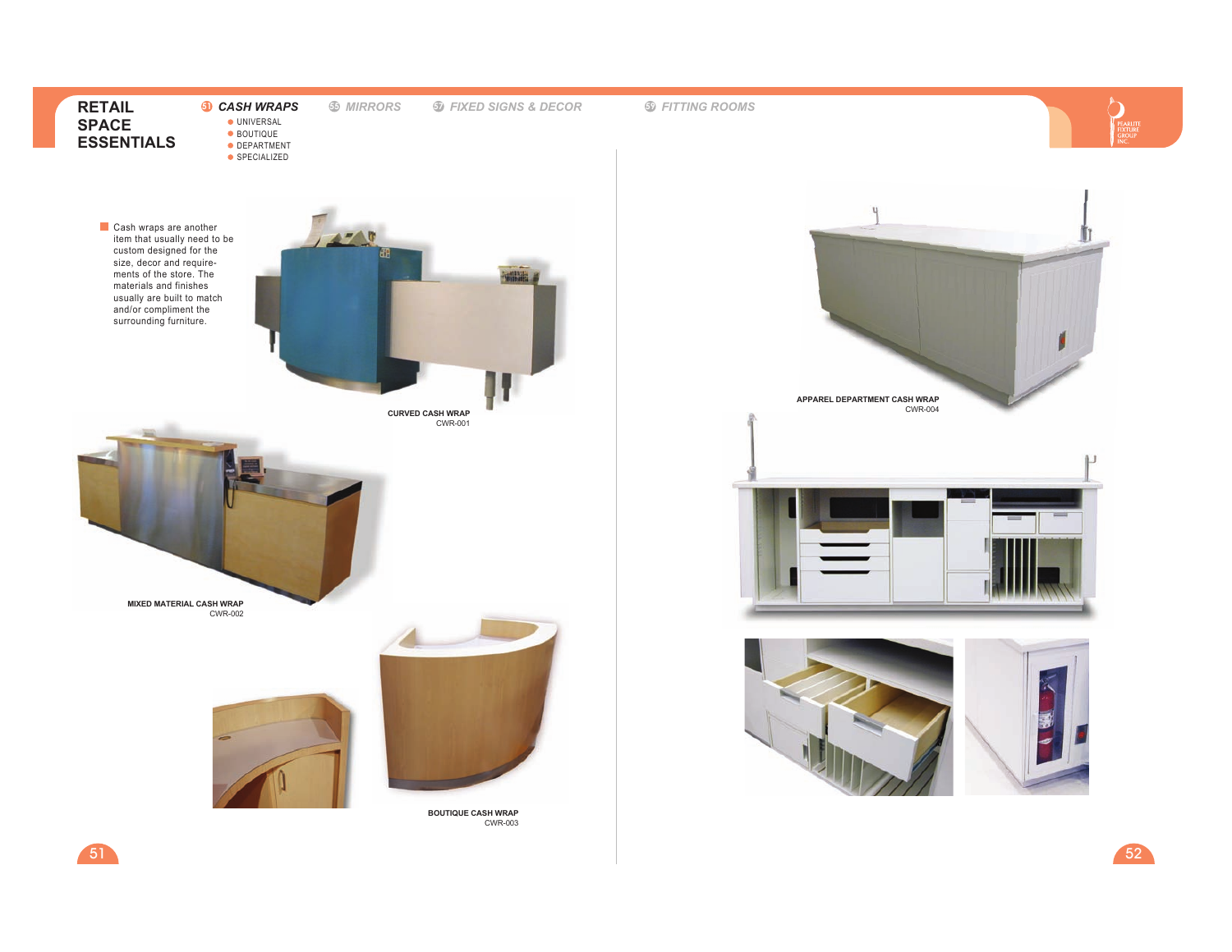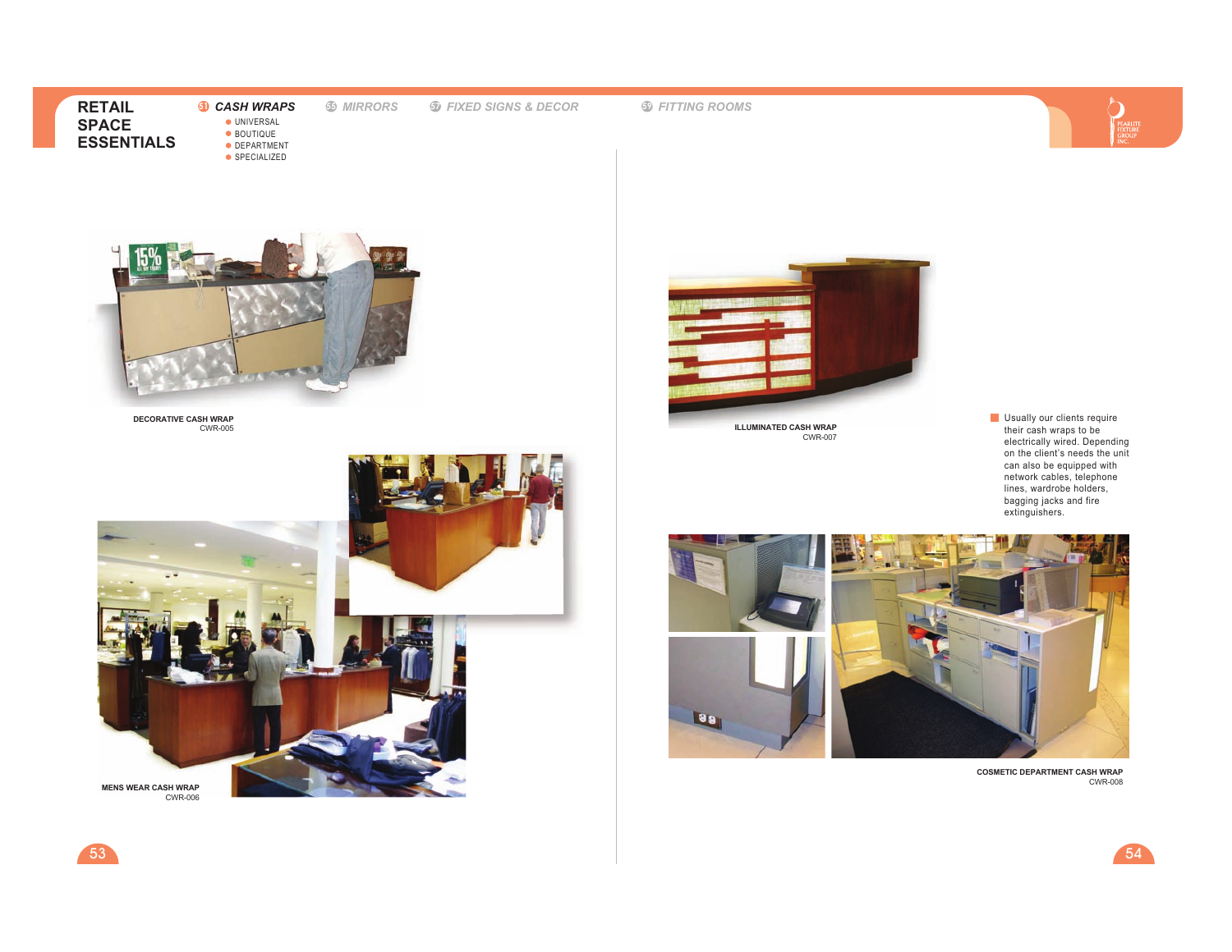**51** *CASH WRAPS*● UNIVERSAL BOUTIQUE DEPARTMENTSPECIALIZED

 **<sup>55</sup>** *MIRRORS***<sup>57</sup>** *FIXED SIGNS & DECOR* **<sup>59</sup>** *FITTING ROOMS*





**DECORATIVE CASH WRAP**CWR-005





**ILLUMINATED CASH WRAP**CWR-007

Usually our clients require their cash wraps to be electrically wired. Depending on the client's needs the unit can also be equipped with network cables, telephone lines, wardrobe holders, bagging jacks and fire extinguishers.



**COSMETIC DEPARTMENT CASH WRAP**CWR-008

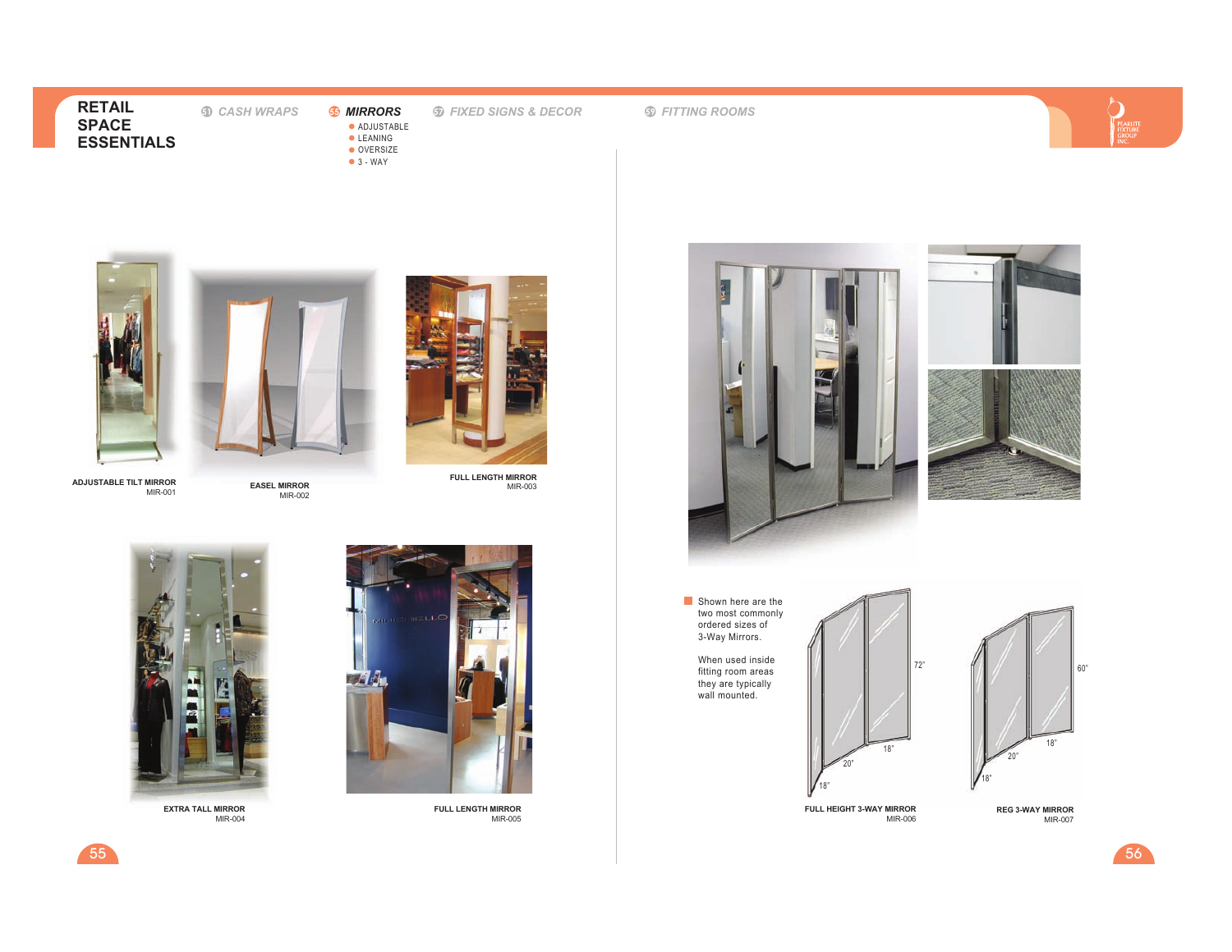# **51** *CASH WRAPS*

● ADJUSTABLE **CLEANING**  OVERSIZE3 - WAY

**<sup>55</sup>** *MIRRORS* **<sup>57</sup>** *FIXED SIGNS & DECOR*

**<sup>59</sup>** *FITTING ROOMS*



**ADJUSTABLE TILT MIRROR**

55

MIR-001



**EASEL MIRROR**MIR-002



**FULL LENGTH MIRROR**MIR-003



**EXTRA TALL MIRROR**MIR-004



**FULL LENGTH MIRROR**MIR-005



20"

18"

18"

MIR-006



MIR-007

 $5<sub>6</sub>$ 

60"

PEARLIT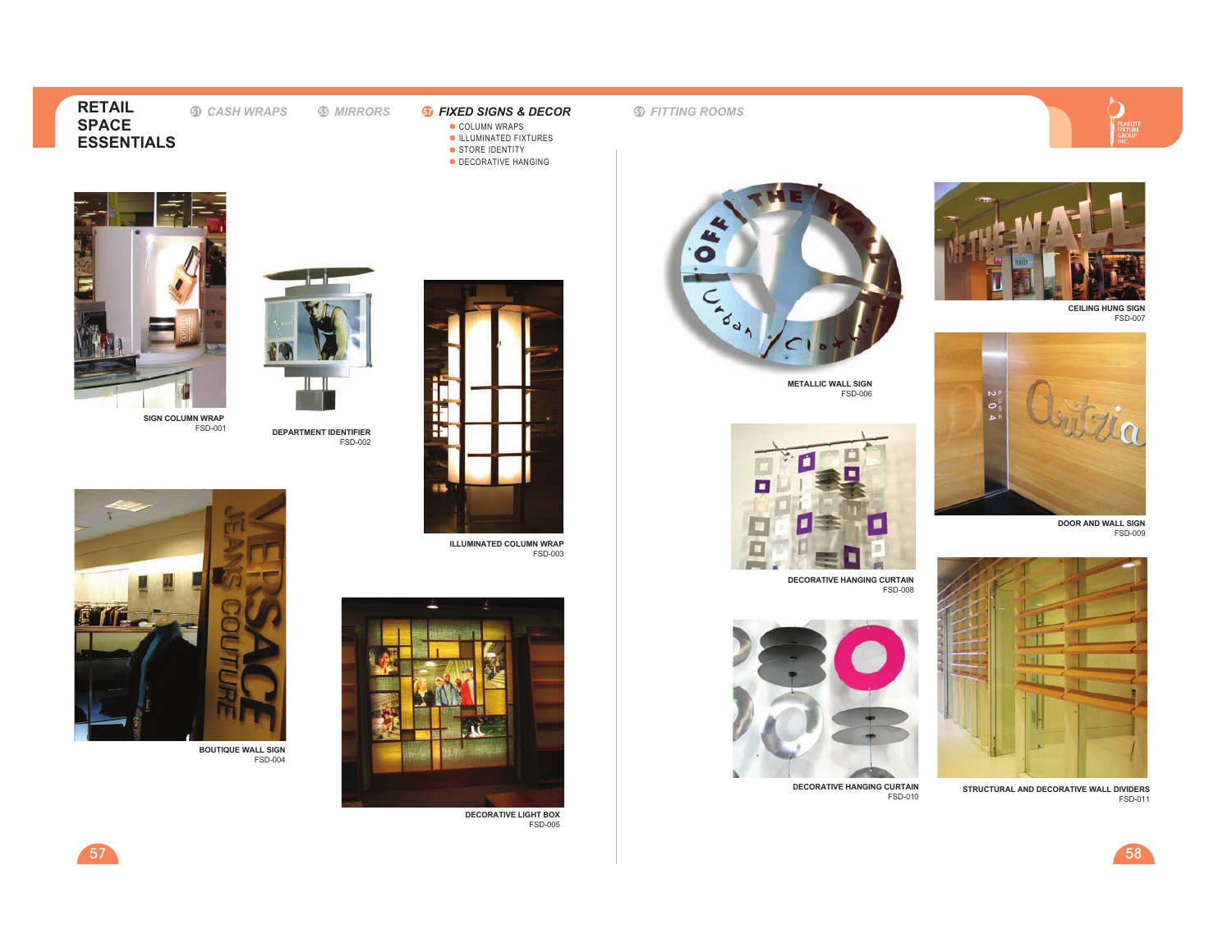**5** CASH WRAPS

**DEPARTMENT IDENTIFIER**

FSD-002

- **COLUMN WRAPS** ILLUMINATED FIXTURES
- **STORE IDENTITY**
- DECORATIVE HANGING





**CEILING HUNG SIGN**FSD-007



**DOOR AND WALL SIGN** FSD-009



**STRUCTURAL AND DECORATIVE WALL DIVIDERS**FSD-011



FSD-010



**METALLIC WALL SIGN**FSD-006



**DECORATIVE HANGING CURTAIN**FSD-008



**DECORATIVE HANGING CURTAIN**



**ILLUMINATED COLUMN WRAP**FSD-003



**DECORATIVE LIGHT BOX**FSD-005



**SIGN COLUMN WRAP** FSD-001



**BOUTIQUE WALL SIGN** FSD-004